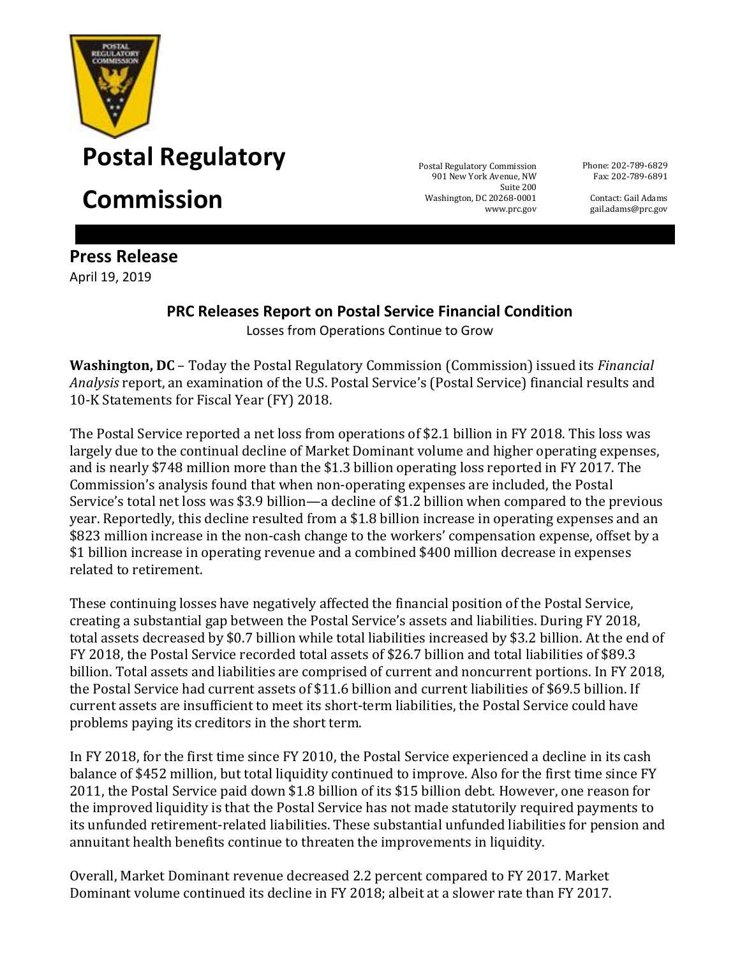

**Postal Regulatory** Postal Regulatory

**Commission** 

901 New York Avenue, NW Washington, DC 20268-0001 www.prc.gov

Phone: 202-789-6829 Fax: 202-789-6891

> Contact: Gail Adams gail.adams@prc.gov

**Press Release** April 19, 2019

## **PRC Releases Report on Postal Service Financial Condition** Losses from Operations Continue to Grow

**Washington, DC** – Today the Postal Regulatory Commission (Commission) issued its *Financial Analysis* report, an examination of the U.S. Postal Service's (Postal Service) financial results and 10-K Statements for Fiscal Year (FY) 2018.

The Postal Service reported a net loss from operations of \$2.1 billion in FY 2018. This loss was largely due to the continual decline of Market Dominant volume and higher operating expenses, and is nearly \$748 million more than the \$1.3 billion operating loss reported in FY 2017. The Commission's analysis found that when non-operating expenses are included, the Postal Service's total net loss was \$3.9 billion—a decline of \$1.2 billion when compared to the previous year. Reportedly, this decline resulted from a \$1.8 billion increase in operating expenses and an \$823 million increase in the non-cash change to the workers' compensation expense, offset by a \$1 billion increase in operating revenue and a combined \$400 million decrease in expenses related to retirement.

These continuing losses have negatively affected the financial position of the Postal Service, creating a substantial gap between the Postal Service's assets and liabilities. During FY 2018, total assets decreased by \$0.7 billion while total liabilities increased by \$3.2 billion. At the end of FY 2018, the Postal Service recorded total assets of \$26.7 billion and total liabilities of \$89.3 billion. Total assets and liabilities are comprised of current and noncurrent portions. In FY 2018, the Postal Service had current assets of \$11.6 billion and current liabilities of \$69.5 billion. If current assets are insufficient to meet its short-term liabilities, the Postal Service could have problems paying its creditors in the short term.

In FY 2018, for the first time since FY 2010, the Postal Service experienced a decline in its cash balance of \$452 million, but total liquidity continued to improve. Also for the first time since FY 2011, the Postal Service paid down \$1.8 billion of its \$15 billion debt. However, one reason for the improved liquidity is that the Postal Service has not made statutorily required payments to its unfunded retirement-related liabilities. These substantial unfunded liabilities for pension and annuitant health benefits continue to threaten the improvements in liquidity.

Overall, Market Dominant revenue decreased 2.2 percent compared to FY 2017. Market Dominant volume continued its decline in FY 2018; albeit at a slower rate than FY 2017.